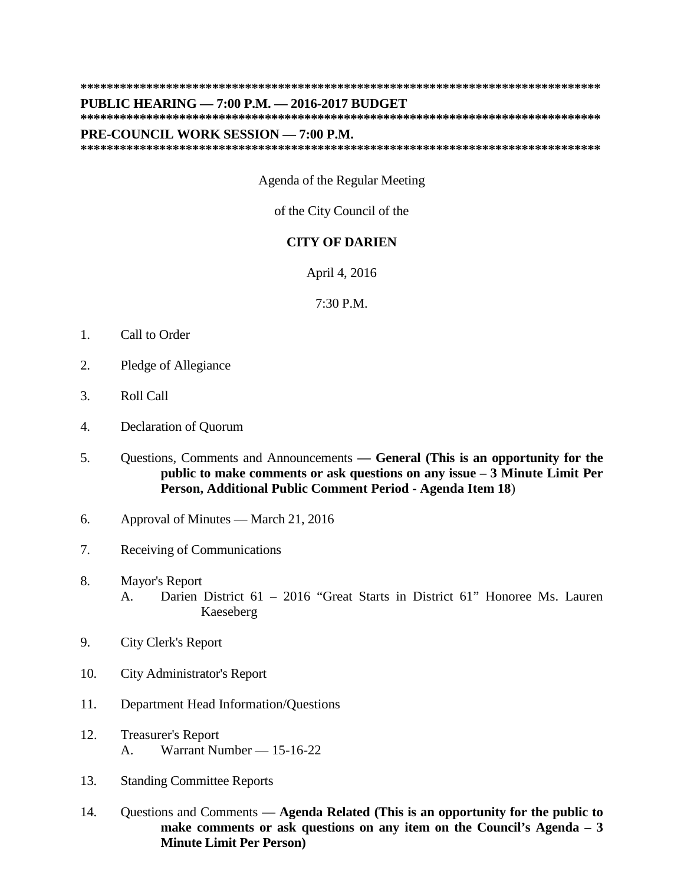## **\*\*\*\*\*\*\*\*\*\*\*\*\*\*\*\*\*\*\*\*\*\*\*\*\*\*\*\*\*\*\*\*\*\*\*\*\*\*\*\*\*\*\*\*\*\*\*\*\*\*\*\*\*\*\*\*\*\*\*\*\*\*\*\*\*\*\*\*\*\*\*\*\*\*\*\*\*\*\***

## **PUBLIC HEARING — 7:00 P.M. — 2016-2017 BUDGET**

**\*\*\*\*\*\*\*\*\*\*\*\*\*\*\*\*\*\*\*\*\*\*\*\*\*\*\*\*\*\*\*\*\*\*\*\*\*\*\*\*\*\*\*\*\*\*\*\*\*\*\*\*\*\*\*\*\*\*\*\*\*\*\*\*\*\*\*\*\*\*\*\*\*\*\*\*\*\*\***

## **PRE-COUNCIL WORK SESSION — 7:00 P.M.**

**\*\*\*\*\*\*\*\*\*\*\*\*\*\*\*\*\*\*\*\*\*\*\*\*\*\*\*\*\*\*\*\*\*\*\*\*\*\*\*\*\*\*\*\*\*\*\*\*\*\*\*\*\*\*\*\*\*\*\*\*\*\*\*\*\*\*\*\*\*\*\*\*\*\*\*\*\*\*\***

Agenda of the Regular Meeting

of the City Council of the

## **CITY OF DARIEN**

April 4, 2016

7:30 P.M.

- 1. Call to Order
- 2. Pledge of Allegiance
- 3. Roll Call
- 4. Declaration of Quorum
- 5. Questions, Comments and Announcements **— General (This is an opportunity for the public to make comments or ask questions on any issue – 3 Minute Limit Per Person, Additional Public Comment Period - Agenda Item 18**)
- 6. Approval of Minutes March 21, 2016
- 7. Receiving of Communications
- 8. Mayor's Report A. Darien District 61 – 2016 "Great Starts in District 61" Honoree Ms. Lauren Kaeseberg
- 9. City Clerk's Report
- 10. City Administrator's Report
- 11. Department Head Information/Questions
- 12. Treasurer's Report A. Warrant Number — 15-16-22
- 13. Standing Committee Reports
- 14. Questions and Comments **— Agenda Related (This is an opportunity for the public to make comments or ask questions on any item on the Council's Agenda – 3 Minute Limit Per Person)**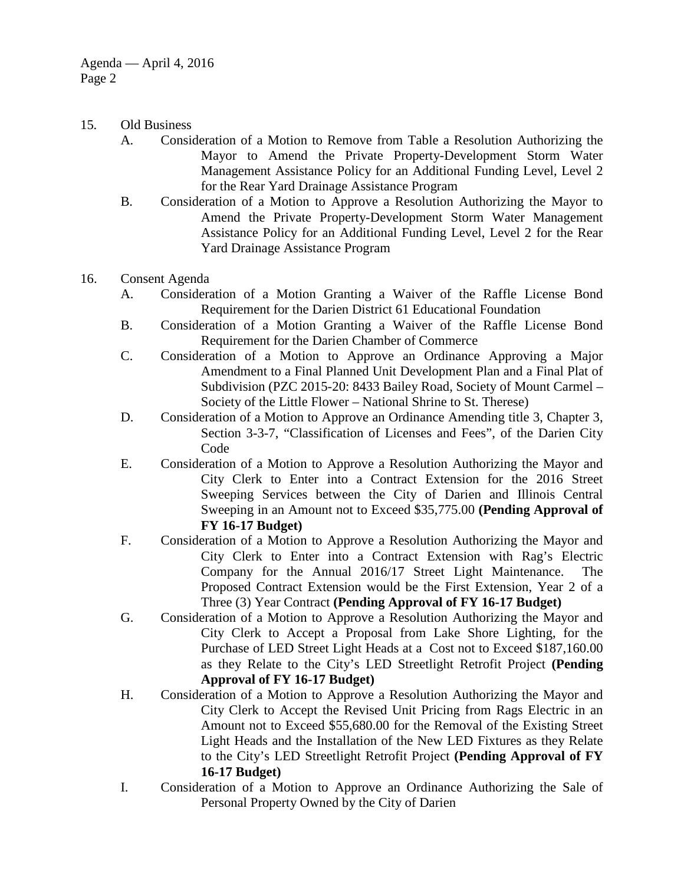- 15. Old Business
	- A. Consideration of a Motion to Remove from Table a Resolution Authorizing the Mayor to Amend the Private Property-Development Storm Water Management Assistance Policy for an Additional Funding Level, Level 2 for the Rear Yard Drainage Assistance Program
	- B. Consideration of a Motion to Approve a Resolution Authorizing the Mayor to Amend the Private Property-Development Storm Water Management Assistance Policy for an Additional Funding Level, Level 2 for the Rear Yard Drainage Assistance Program
- 16. Consent Agenda
	- A. Consideration of a Motion Granting a Waiver of the Raffle License Bond Requirement for the Darien District 61 Educational Foundation
	- B. Consideration of a Motion Granting a Waiver of the Raffle License Bond Requirement for the Darien Chamber of Commerce
	- C. Consideration of a Motion to Approve an Ordinance Approving a Major Amendment to a Final Planned Unit Development Plan and a Final Plat of Subdivision (PZC 2015-20: 8433 Bailey Road, Society of Mount Carmel – Society of the Little Flower – National Shrine to St. Therese)
	- D. Consideration of a Motion to Approve an Ordinance Amending title 3, Chapter 3, Section 3-3-7, "Classification of Licenses and Fees", of the Darien City Code
	- E. Consideration of a Motion to Approve a Resolution Authorizing the Mayor and City Clerk to Enter into a Contract Extension for the 2016 Street Sweeping Services between the City of Darien and Illinois Central Sweeping in an Amount not to Exceed \$35,775.00 **(Pending Approval of FY 16-17 Budget)**
	- F. Consideration of a Motion to Approve a Resolution Authorizing the Mayor and City Clerk to Enter into a Contract Extension with Rag's Electric Company for the Annual 2016/17 Street Light Maintenance. The Proposed Contract Extension would be the First Extension, Year 2 of a Three (3) Year Contract **(Pending Approval of FY 16-17 Budget)**
	- G. Consideration of a Motion to Approve a Resolution Authorizing the Mayor and City Clerk to Accept a Proposal from Lake Shore Lighting, for the Purchase of LED Street Light Heads at a Cost not to Exceed \$187,160.00 as they Relate to the City's LED Streetlight Retrofit Project **(Pending Approval of FY 16-17 Budget)**
	- H. Consideration of a Motion to Approve a Resolution Authorizing the Mayor and City Clerk to Accept the Revised Unit Pricing from Rags Electric in an Amount not to Exceed \$55,680.00 for the Removal of the Existing Street Light Heads and the Installation of the New LED Fixtures as they Relate to the City's LED Streetlight Retrofit Project **(Pending Approval of FY 16-17 Budget)**
	- I. Consideration of a Motion to Approve an Ordinance Authorizing the Sale of Personal Property Owned by the City of Darien